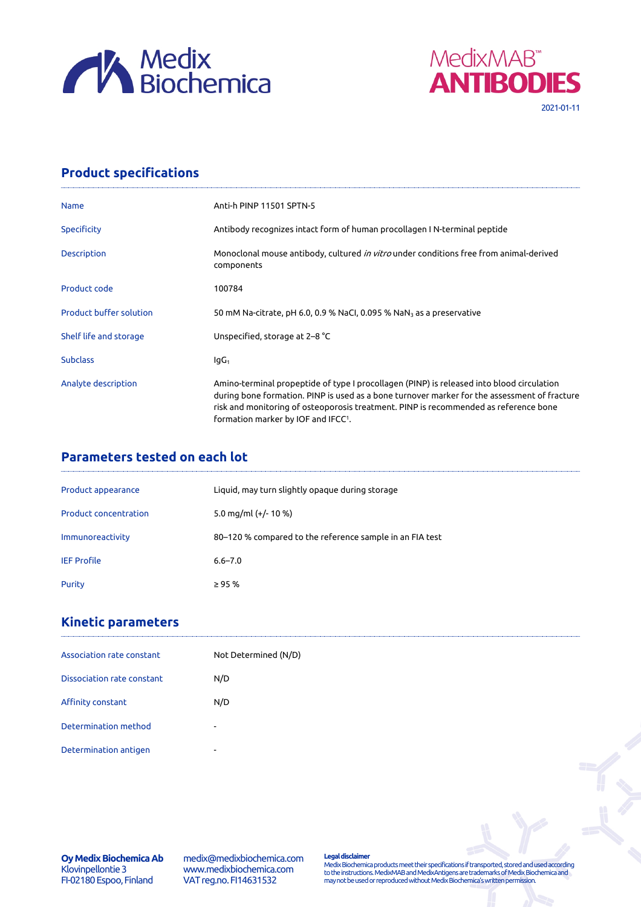



## **Product specifications**

| Anti-h PINP 11501 SPTN-5                                                                                                                                                                                                                                                                                                             |  |  |  |
|--------------------------------------------------------------------------------------------------------------------------------------------------------------------------------------------------------------------------------------------------------------------------------------------------------------------------------------|--|--|--|
| Antibody recognizes intact form of human procollagen I N-terminal peptide                                                                                                                                                                                                                                                            |  |  |  |
| Monoclonal mouse antibody, cultured in vitro under conditions free from animal-derived<br>components                                                                                                                                                                                                                                 |  |  |  |
| 100784                                                                                                                                                                                                                                                                                                                               |  |  |  |
| 50 mM Na-citrate, pH 6.0, 0.9 % NaCl, 0.095 % NaN $_3$ as a preservative                                                                                                                                                                                                                                                             |  |  |  |
| Unspecified, storage at 2–8 °C                                                                                                                                                                                                                                                                                                       |  |  |  |
| lgG <sub>1</sub>                                                                                                                                                                                                                                                                                                                     |  |  |  |
| Amino-terminal propeptide of type I procollagen (PINP) is released into blood circulation<br>during bone formation. PINP is used as a bone turnover marker for the assessment of fracture<br>risk and monitoring of osteoporosis treatment. PINP is recommended as reference bone<br>formation marker by IOF and IFCC <sup>1</sup> . |  |  |  |
|                                                                                                                                                                                                                                                                                                                                      |  |  |  |

## **Parameters tested on each lot**

| Product appearance           | Liquid, may turn slightly opaque during storage          |
|------------------------------|----------------------------------------------------------|
| <b>Product concentration</b> | 5.0 mg/ml $(+/- 10 %$                                    |
| Immunoreactivity             | 80–120 % compared to the reference sample in an FIA test |
| <b>IEF Profile</b>           | $6.6 - 7.0$                                              |
| Purity                       | $\geq$ 95 %                                              |

## **Kinetic parameters**

| Association rate constant  | Not Determined (N/D)     |
|----------------------------|--------------------------|
| Dissociation rate constant | N/D                      |
| Affinity constant          | N/D                      |
| Determination method       | $\sim$                   |
| Determination antigen      | $\overline{\phantom{0}}$ |

**Oy Medix Biochemica Ab** Klovinpellontie 3 FI-02180 Espoo, Finland

medix@medixbiochemica.com www.medixbiochemica.com VAT reg.no. FI14631532

**Legal disclaimer** Medix Biochemica products meet their specifications if transported, stored and used according to the instructions. MedixMAB and MedixAntigens are trademarks of Medix Biochemica and may not be used or reproduced without Medix Biochemica's written permission.